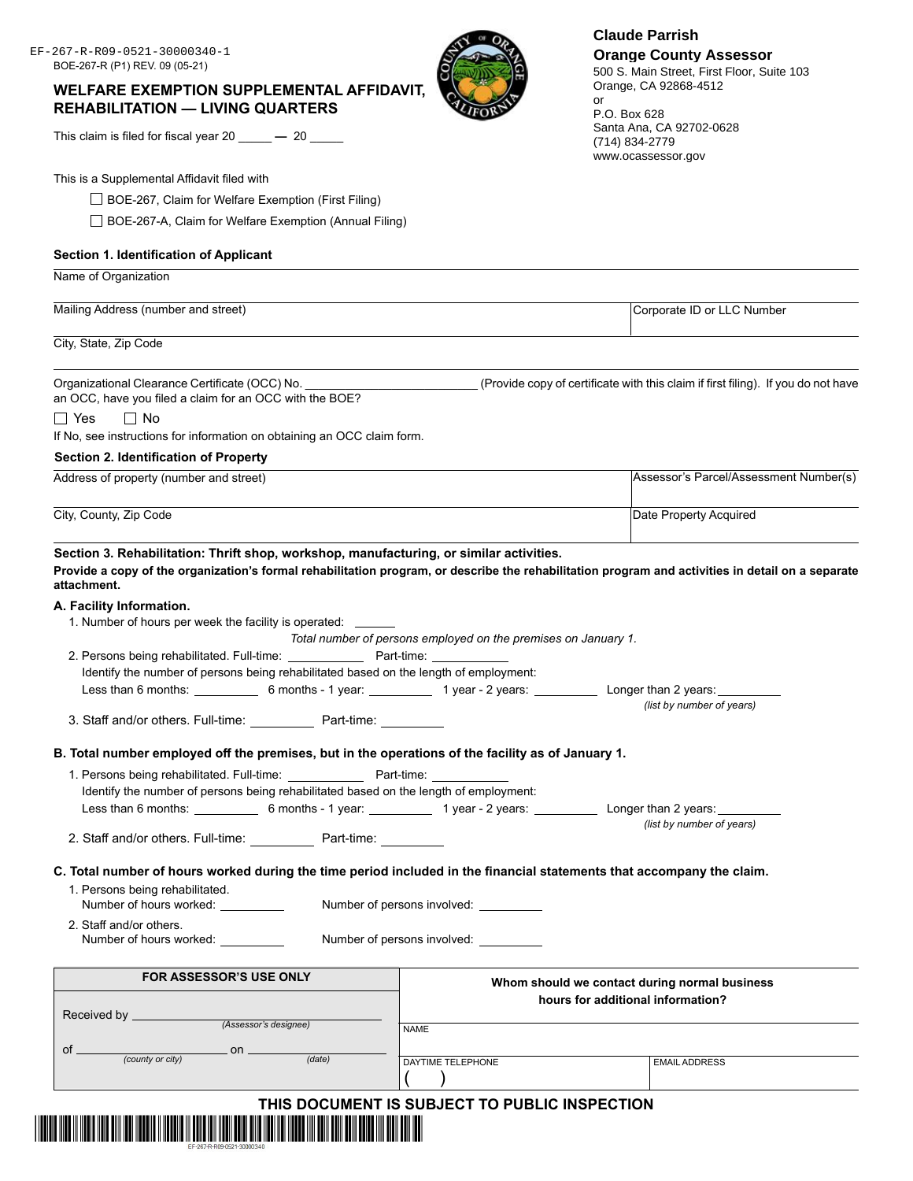### **WELFARE EXEMPTION SUPPLEMENTAL AFFIDAVIT, REHABILITATION — LIVING QUARTERS**

This claim is filed for fiscal year 20  $\qquad -20$ 

This is a Supplemental Affidavit filed with

□ BOE-267, Claim for Welfare Exemption (First Filing)

□ BOE-267-A, Claim for Welfare Exemption (Annual Filing)

### **Section 1. Identification of Applicant**

Mailing Address (number and street) **Corporate ID or LLC Number** Corporate ID or LLC Number City, State, Zip Code

Organizational Clearance Certificate (OCC) No. \_\_\_\_\_\_\_\_\_\_\_\_\_\_\_\_\_\_\_\_\_\_\_\_\_\_\_\_\_\_\_\_(Provide copy of certificate with this claim if first filing). If you do not have

an OCC, have you filed a claim for an OCC with the BOE?

### □ Yes □ No

Name of Organization

If No, see instructions for information on obtaining an OCC claim form.

### **Section 2. Identification of Property**

| Address of property (number and street) | Assessor's Parcel/Assessment Number(s) |  |
|-----------------------------------------|----------------------------------------|--|
|                                         |                                        |  |
| City, County, Zip Code                  | Date Property Acquired                 |  |
|                                         |                                        |  |

**Section 3. Rehabilitation: Thrift shop, workshop, manufacturing, or similar activities.**

**Provide a copy of the organization's formal rehabilitation program, or describe the rehabilitation program and activities in detail on a separate attachment.**

#### **A. Facility Information.**

|                                                                                                   |                       | Total number of persons employed on the premises on January 1. |                                                                                                                                    |
|---------------------------------------------------------------------------------------------------|-----------------------|----------------------------------------------------------------|------------------------------------------------------------------------------------------------------------------------------------|
| 2. Persons being rehabilitated. Full-time: Part-time: Part-time:                                  |                       |                                                                |                                                                                                                                    |
| Identify the number of persons being rehabilitated based on the length of employment:             |                       |                                                                |                                                                                                                                    |
|                                                                                                   |                       |                                                                | Less than 6 months: ______________ 6 months - 1 year: _____________ 1 year - 2 years: _____________ Longer than 2 years: _________ |
| 3. Staff and/or others. Full-time: ______________ Part-time: ___________                          |                       |                                                                | (list by number of years)                                                                                                          |
| B. Total number employed off the premises, but in the operations of the facility as of January 1. |                       |                                                                |                                                                                                                                    |
|                                                                                                   |                       |                                                                |                                                                                                                                    |
| Identify the number of persons being rehabilitated based on the length of employment:             |                       |                                                                |                                                                                                                                    |
|                                                                                                   |                       |                                                                | Less than 6 months: 6 months - 1 year: 1 year - 2 years: Less than 2 years: 2 years: 2 years:                                      |
|                                                                                                   |                       |                                                                | (list by number of years)                                                                                                          |
| 2. Staff and/or others. Full-time: Part-time:                                                     |                       |                                                                |                                                                                                                                    |
| 1. Persons being rehabilitated.<br>Number of hours worked: __________                             |                       | Number of persons involved:                                    | C. Total number of hours worked during the time period included in the financial statements that accompany the claim.              |
| 2. Staff and/or others.<br>Number of hours worked: __________                                     |                       | Number of persons involved:                                    |                                                                                                                                    |
| <b>FOR ASSESSOR'S USE ONLY</b>                                                                    |                       |                                                                |                                                                                                                                    |
| Received by ________________                                                                      |                       |                                                                | Whom should we contact during normal business<br>hours for additional information?                                                 |
|                                                                                                   | (Assessor's designee) | <b>NAME</b>                                                    |                                                                                                                                    |
|                                                                                                   |                       |                                                                |                                                                                                                                    |
| of $\frac{\cdot}{\cdot}$ on $\frac{\cdot}{\cdot}$                                                 | $\overline{(date)}$   | DAYTIME TELEPHONE                                              | <b>EMAIL ADDRESS</b>                                                                                                               |
|                                                                                                   |                       |                                                                |                                                                                                                                    |
|                                                                                                   |                       | THIS DOCUMENT IS SUBJECT TO PUBLIC INSPECTION                  |                                                                                                                                    |



or

500 S. Main Street, First Floor, Suite 103 Orange, CA 92868-4512

P.O. Box 628 Santa Ana, CA 92702-0628 (714) 834-2779 www.ocassessor.gov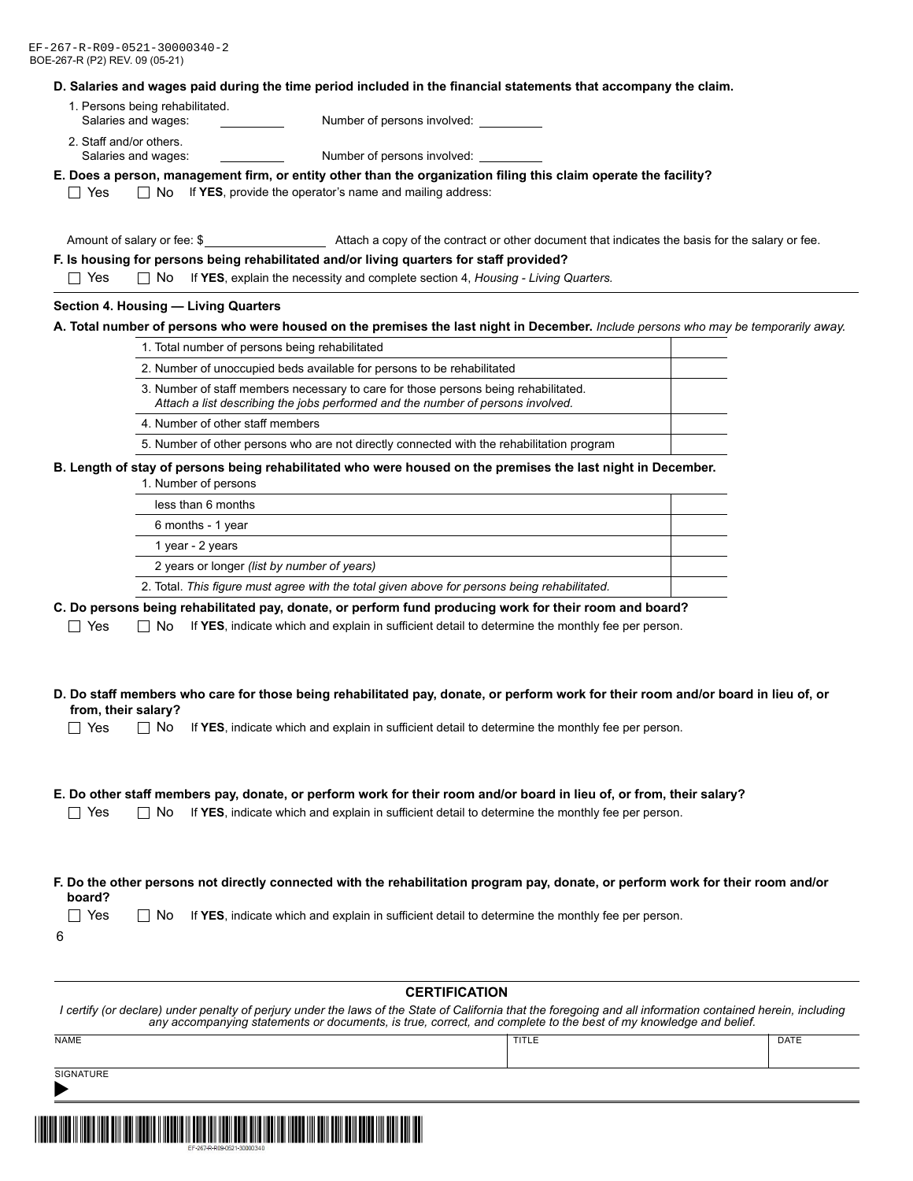#### **D. Salaries and wages paid during the time period included in the financial statements that accompany the claim.**

- 1. Persons being rehabilitated. Salaries and wages: Number of persons involved:
- 2. Staff and/or others. Salaries and wages: Number of persons involved:

#### **E. Does a person, management firm, or entity other than the organization filing this claim operate the facility?**

 $\Box$  Yes  $\Box$  No If **YES**, provide the operator's name and mailing address:

Amount of salary or fee: \$ Attach a copy of the contract or other document that indicates the basis for the salary or fee.

#### **F. Is housing for persons being rehabilitated and/or living quarters for staff provided?**

Yes No If **YES**, explain the necessity and complete section 4, *Housing - Living Quarters.*

#### **Section 4. Housing — Living Quarters**

#### **A. Total number of persons who were housed on the premises the last night in December.** *Include persons who may be temporarily away.*

| 1. Total number of persons being rehabilitated                                                                                                                         |  |
|------------------------------------------------------------------------------------------------------------------------------------------------------------------------|--|
| 2. Number of unoccupied beds available for persons to be rehabilitated                                                                                                 |  |
| 3. Number of staff members necessary to care for those persons being rehabilitated.<br>Attach a list describing the jobs performed and the number of persons involved. |  |
| 4. Number of other staff members                                                                                                                                       |  |
| 5. Number of other persons who are not directly connected with the rehabilitation program                                                                              |  |

**B. Length of stay of persons being rehabilitated who were housed on the premises the last night in December.**

1. Number of persons

| less than 6 months                                                                           |  |
|----------------------------------------------------------------------------------------------|--|
| 6 months - 1 year                                                                            |  |
| 1 year - 2 years                                                                             |  |
| 2 years or longer (list by number of years)                                                  |  |
| 2. Total. This figure must agree with the total given above for persons being rehabilitated. |  |
|                                                                                              |  |

#### **C. Do persons being rehabilitated pay, donate, or perform fund producing work for their room and board?**

 $\Box$  Yes  $\Box$  No If YES, indicate which and explain in sufficient detail to determine the monthly fee per person.

| D. Do staff members who care for those being rehabilitated pay, donate, or perform work for their room and/or board in lieu of, or |  |
|------------------------------------------------------------------------------------------------------------------------------------|--|
| from, their salary?                                                                                                                |  |

□ Yes □ No If YES, indicate which and explain in sufficient detail to determine the monthly fee per person.

#### **E. Do other staff members pay, donate, or perform work for their room and/or board in lieu of, or from, their salary?**

□ Yes □ No If YES, indicate which and explain in sufficient detail to determine the monthly fee per person.

| F. Do the other persons not directly connected with the rehabilitation program pay, donate, or perform work for their room and/or |  |  |
|-----------------------------------------------------------------------------------------------------------------------------------|--|--|
| board?                                                                                                                            |  |  |

 $\Box$  Yes  $\Box$  No If YES, indicate which and explain in sufficient detail to determine the monthly fee per person.

6

#### **CERTIFICATION**

| I certify (or declare) under penalty of perjury under the laws of the State of California that the foregoing and all information contained herein, including |       |      |  |
|--------------------------------------------------------------------------------------------------------------------------------------------------------------|-------|------|--|
| any accompanying statements or documents, is true, correct, and complete to the best of my knowledge and belief.                                             |       |      |  |
| <b>NAME</b>                                                                                                                                                  | TITLE | DATE |  |

**SIGNATURE** 

 $\blacktriangleright$